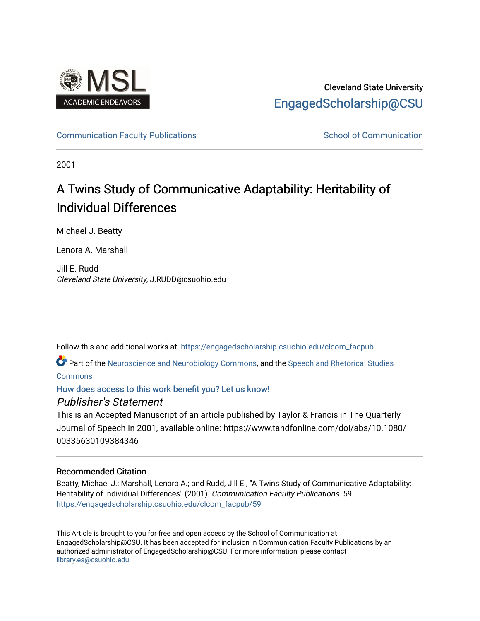

# Cleveland State University [EngagedScholarship@CSU](https://engagedscholarship.csuohio.edu/)

### [Communication Faculty Publications](https://engagedscholarship.csuohio.edu/clcom_facpub) [School of Communication](https://engagedscholarship.csuohio.edu/clcom) School of Communication

2001

# A Twins Study of Communicative Adaptability: Heritability of Individual Differences

Michael J. Beatty

Lenora A. Marshall

Jill E. Rudd Cleveland State University, J.RUDD@csuohio.edu

Follow this and additional works at: [https://engagedscholarship.csuohio.edu/clcom\\_facpub](https://engagedscholarship.csuohio.edu/clcom_facpub?utm_source=engagedscholarship.csuohio.edu%2Fclcom_facpub%2F59&utm_medium=PDF&utm_campaign=PDFCoverPages) 

Part of the [Neuroscience and Neurobiology Commons,](http://network.bepress.com/hgg/discipline/55?utm_source=engagedscholarship.csuohio.edu%2Fclcom_facpub%2F59&utm_medium=PDF&utm_campaign=PDFCoverPages) and the [Speech and Rhetorical Studies](http://network.bepress.com/hgg/discipline/338?utm_source=engagedscholarship.csuohio.edu%2Fclcom_facpub%2F59&utm_medium=PDF&utm_campaign=PDFCoverPages)  **[Commons](http://network.bepress.com/hgg/discipline/338?utm_source=engagedscholarship.csuohio.edu%2Fclcom_facpub%2F59&utm_medium=PDF&utm_campaign=PDFCoverPages)** 

[How does access to this work benefit you? Let us know!](http://library.csuohio.edu/engaged/)

### Publisher's Statement

This is an Accepted Manuscript of an article published by Taylor & Francis in The Quarterly Journal of Speech in 2001, available online: https://www.tandfonline.com/doi/abs/10.1080/ 00335630109384346

### Recommended Citation

Beatty, Michael J.; Marshall, Lenora A.; and Rudd, Jill E., "A Twins Study of Communicative Adaptability: Heritability of Individual Differences" (2001). Communication Faculty Publications. 59. [https://engagedscholarship.csuohio.edu/clcom\\_facpub/59](https://engagedscholarship.csuohio.edu/clcom_facpub/59?utm_source=engagedscholarship.csuohio.edu%2Fclcom_facpub%2F59&utm_medium=PDF&utm_campaign=PDFCoverPages) 

This Article is brought to you for free and open access by the School of Communication at EngagedScholarship@CSU. It has been accepted for inclusion in Communication Faculty Publications by an authorized administrator of EngagedScholarship@CSU. For more information, please contact [library.es@csuohio.edu.](mailto:library.es@csuohio.edu)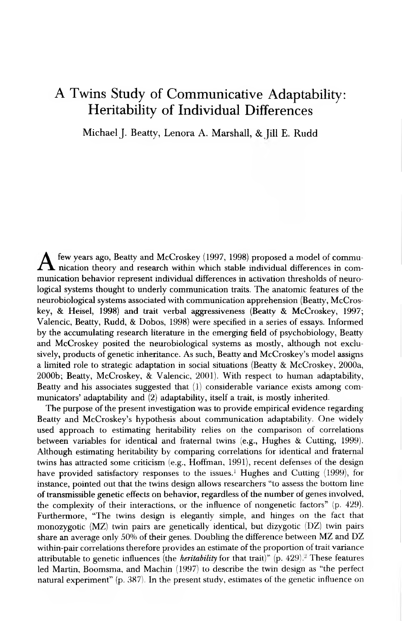## A Twins Study of Communicative Adaptability: Heritability of Individual Differences

Michael J. Beatty, Lenora A. Marshall, & Jill E. Rudd

 $A$  few years ago, Beatty and McCroskey (1997, 1998) proposed a model of commu-<br>nication theory and research within which stable individual differences in communication behavior represent individual differences in activation thresholds of neurological systems thought to underly communication traits. The anatomic features of the neurobiological systems associated with communication apprehension (Beatty, McCroskey, & Heisel, 1998) and trait verbal aggressiveness (Beatty & McCroskey, 1997; Valencic, Beatty, Rudd, & Dobos, 1998) were specified in a series of essays. Informed by the accumulating research literature in the emerging field of psychobiology, Beatty and McCroskey posited the neurobiological systems as mostly, although not exclusively, products of genetic inheritance. As such, Beatty and McCroskey's model assigns a limited role to strategic adaptation in social situations (Beatty & McCroskey, 2000a, 2000b; Beatty, McCroskey, & Valencic, 2001). With respect to human adaptability, Beatty and his associates suggested that (1) considerable variance exists among communicators' adaptability and (2) adaptability, itself a trait, is mostly inherited.

The purpose of the present investigation was to provide empirical evidence regarding Beatty and McCroskey's hypothesis about communication adaptability. One widely used approach to estimating heritability relies on the comparison of correlations between variables for identical and fraternal twins (e.g., Hughes & Cutting, 1999). Although estimating heritability by comparing correlations for identical and fraternal twins has attracted some criticism (e.g., Hoffman, 1991), recent defenses of the design have provided satisfactory responses to the issues.<sup>1</sup> Hughes and Cutting  $(1999)$ , for instance, pointed out that the twins design allows researchers "to assess the bottom line of transmissible genetic effects on behavior, regardless of the number of genes involved, the complexity of their interactions, or the influence of nongenetic factors" (p. 429). Furthermore, "The twins design is elegantly simple, and hinges on the fact that monozygotic (MZ) twin pairs are genetically identical, but dizygotic (DZ) twin pairs share an average only 50% of their genes. Doubling the difference between MZ and DZ within-pair correlations therefore provides an estimate of the proportion of trait variance attributable to genetic influences (the *heritability* for that trait)" (p. 429).<sup>2</sup> These features led Martin, Boomsma, and Machin (1997) to describe the twin design as "the perfect natural experiment" (p. 387). In the present study, estimates of the genetic influence on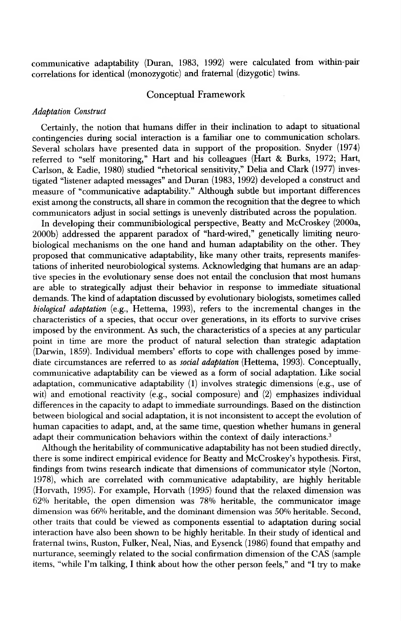communicative adaptability (Duran, 1983, 1992) were calculated from within-pair correlations for identical (monozygotic) and fraternal (dizygotic) twins.

#### Conceptual Framework

#### *Adaptation Construct*

Certainly, the notion that humans differ in their inclination to adapt to situational contingencies during social interaction is a familiar one to communication scholars. Several scholars have presented data in support of the proposition. Snyder (1974) referred to "self monitoring," Hart and his colleagues (Hart & Burks, 1972; Hart, Carlson, & Eadie, 1980) studied "rhetorical sensitivity," Delia and Clark (1977) investigated "listener adapted messages" and Duran (1983, 1992) developed a construct and measure of "communicative adaptability." Although subtle but important differences exist among the constructs, all share in common the recognition that the degree to which communicators adjust in social settings is unevenly distributed across the population.

In developing their communibiological perspective, Beatty and McCroskey (2000a, 2000b) addressed the apparent paradox of "hard-wired," genetically limiting neurobiological mechanisms on the one hand and human adaptability on the other. They proposed that communicative adaptability, like many other traits, represents manifestations of inherited neurobiological systems. Acknowledging that humans are an adaptive species in the evolutionary sense does not entail the conclusion that most humans are able to strategically adjust their behavior in response to immediate situational demands. The kind of adaptation discussed by evolutionary biologists, sometimes called *biological adaptation* (e.g., Hettema, 1993), refers to the incremental changes in the characteristics of a species, that occur over generations, in its efforts to survive crises imposed by the environment. As such, the characteristics of a species at any particular point in time are more the product of natural selection than strategic adaptation (Darwin, 1859). Individual members' efforts to cope with challenges posed by immediate circumstances are referred to as *social adaptation* (Hettema, 1993). Conceptually, communicative adaptability can be viewed as a form of social adaptation. Like social adaptation, communicative adaptability (1) involves strategic dimensions (e.g., use of wit) and emotional reactivity (e.g., social composure) and (2) emphasizes individual differences in the capacity to adapt to immediate surroundings. Based on the distinction between biological and social adaptation, it is not inconsistent to accept the evolution of human capacities to adapt, and, at the same time, question whether humans in general adapt their communication behaviors within the context of daily interactions.<sup>3</sup>

Although the heritability of communicative adaptability has not been studied directly, there is some indirect empirical evidence for Beatty and McCroskey's hypothesis. First, findings from twins research indicate that dimensions of communicator style (Norton, 1978), which are correlated with communicative adaptability, are highly heritable (Horvath, 1995). For example, Horvath (1995) found that the relaxed dimension was 62% heritable, the open dimension was 78% heritable, the communicator image dimension was 66% heritable, and the dominant dimension was 50% heritable. Second, other traits that could be viewed as components essential to adaptation during social interaction have also been shown to be highly heritable. In their study of identical and fraternal twins, Ruston, Fulker, Neal, Nias, and Eysenck (1986) found that empathy and nurturance, seemingly related to the social confirmation dimension of the CAS (sample items, "while I'm talking, I think about how the other person feels," and "I try to make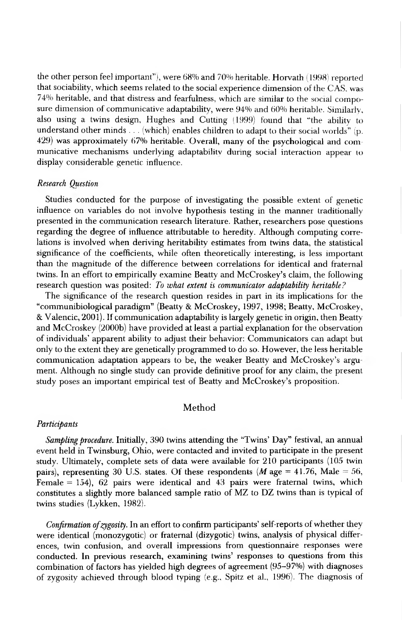the other person feel important"), were 68% and 70% heritable. Horvath (1998) reported that sociability, which seems related to the social experience dimension of the CAS, was 74% heritable, and that distress and fearfulness, which are similar to the social composure dimension of communicative adaptability, were 94% and 60% heritable. Similarly, also using a twins design, Hughes and Cutting (1999) found that "the ability to understand other minds . . . (which) enables children to adapt to their social worlds" (p. 429) was approximately 67% heritable. Overall, many of the psychological and communicative mechanisms underlying adaptability during social interaction appear lo display considerable genetic influence.

#### *Research Question*

Studies conducted for the purpose of investigating the possible extent of genetic influence on variables do not involve hypothesis testing in the manner traditionally presented in the communication research literature. Rather, researchers pose questions regarding the degree of influence attributable to heredity. Although computing correlations is involved when deriving heritability estimates from twins data, the statistical significance of the coefficients, while often theoretically interesting, is less important than the magnitude of the difference between correlations for identical and fraternal twins. In an effort to empirically examine Beatty and McCroskey's claim, the following research question was posited: *To what extent is communicator adaptability heritable?*

The significance of the research question resides in part in its implications for the "communibiological paradigm" (Beatty & McCroskey, 1997, 1998; Beatty, McCroskey, & Valencic, 2001). If communication adaptability is largely genetic in origin, then Beatty and McCroskey (2000b) have provided at least a partial explanation for the observation of individuals' apparent ability to adjust their behavior: Communicators can adapt but only to the extent they are genetically programmed to do so. However, the less heritable communication adaptation appears to be, the weaker Beatty and McCroskey's argu ment. Although no single study can provide definitive proof for any claim, the present study poses an important empirical test of Beatty and McCroskey's proposition.

#### Method

#### *Participants*

*Sampling procedure.* Initially, 390 twins attending the "Twins' Day" festival, an annual event held in Twinsburg, Ohio, were contacted and invited to participate in the present study. Ultimately, complete sets of data were available for 210 participants (105 twin pairs), representing 30 U.S. states. Of these respondents (*M* age = 41.76, Male = 56, Female =  $154$ ),  $62$  pairs were identical and  $43$  pairs were fraternal twins, which constitutes a slightly more balanced sample ratio of MZ to DZ twins than is typical of twins studies (Lykken, 1982).

*Confirmation ofzygosity.* In an effort to confirm participants' self-reports of whether they were identical (monozygotic) or fraternal (dizygotic) twins, analysis of physical differences, twin confusion, and overall impressions from questionnaire responses were conducted. In previous research, examining twins' responses to questions from this combination of factors has yielded high degrees of agreement (95-97%) with diagnoses of zygosity achieved through blood typing  $(e.g., Spitz et al., 1996)$ . The diagnosis of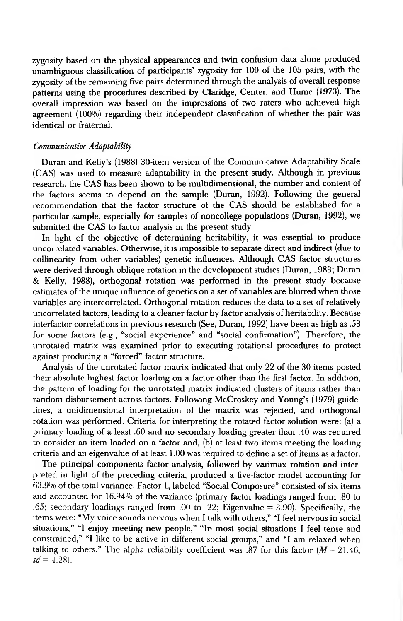zygosity based on the physical appearances and twin confusion data alone produced unambiguous classification of participants' zygosity for 100 of the 105 pairs, with the zygosity of the remaining five pairs determined through the analysis of overall response patterns using the procedures described by Claridge, Center, and Hume (1973). The overall impression was based on the impressions of two raters who achieved high agreement (100%) regarding their independent classification of whether the pair was identical or fraternal.

#### *Communicative Adaptability*

Duran and Kelly's (1988) 30-item version of the Communicative Adaptability Scale (CAS) was used to measure adaptability in the present study. Although in previous research, the CAS has been shown to be multidimensional, the number and content of the factors seems to depend on the sample (Duran, 1992). Following the general recommendation that the factor structure of the CAS should be established for a particular sample, especially for samples of noncollege populations (Duran, 1992), we submitted the CAS to factor analysis in the present study.

In light of the objective of determining heritability, it was essential to produce uncorrelated variables. Otherwise, it is impossible to separate direct and indirect (due to collinearity from other variables) genetic influences. Although CAS factor structures were derived through oblique rotation in the development studies (Duran, 1983; Duran & Kelly, 1988), orthogonal rotation was performed in the present study because estimates of the unique influence of genetics on a set of variables are blurred when those variables are intercorrelated. Orthogonal rotation reduces the data to a set of relatively uncorrelated factors, leading to a cleaner factor by factor analysis of heritability. Because interfactor correlations in previous research (See, Duran, 1992) have been as high as .53 for some factors (e.g., "social experience" and "social confirmation"). Therefore, the unrotated matrix was examined prior to executing rotational procedures to protect against producing a "forced" factor structure.

Analysis of the unrotated factor matrix indicated that only 22 of the 30 items posted their absolute highest factor loading on a factor other than the first factor. In addition, the pattern of loading for the unrotated matrix indicated clusters of items rather than random disbursement across factors. Following McCroskey and Young's (1979) guidelines, a unidimensional interpretation of the matrix was rejected, and orthogonal rotation was performed. Criteria for interpreting the rotated factor solution were: (a) a primary loading of a least .60 and no secondary loading greater than .40 was required to consider an item loaded on a factor and, (b) at least two items meeting the loading criteria and an eigenvalue of at least 1.00 was required to define a set of items as a factor.

The principal components factor analysis, followed by varimax rotation and interpreted in light of the preceding criteria, produced a five-factor model accounting for 63.9% of the total variance. Factor 1, labeled "Social Composure" consisted of six items and accounted for 16.94% of the variance (primary factor loadings ranged from .80 to .65; secondary loadings ranged from .00 to .22; Eigenvalue = 3.90). Specifically, the items were: "My voice sounds nervous when I talk with others," "I feel nervous in social situations," "I enjoy meeting new people," "In most social situations I feel tense and constrained," "I like to be active in different social groups," and "I am relaxed when talking to others." The alpha reliability coefficient was .87 for this factor  $(M = 21.46$ ,  $sd = 4.28$ .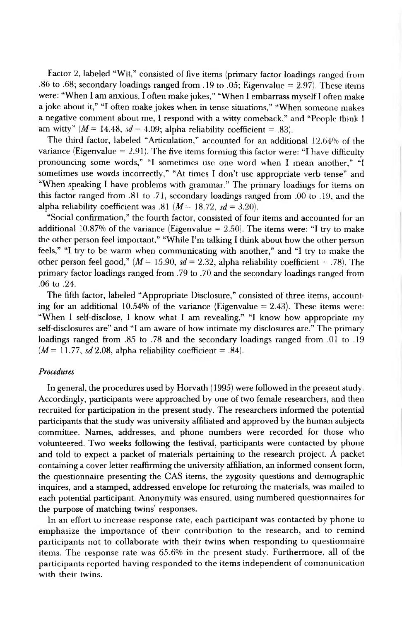Factor 2, labeled "Wit," consisted of five items (primary factor loadings ranged from .86 to .68; secondary loadings ranged from .19 to .05; Eigenvalue = 2.97). These items were: "When I am anxious, I often make jokes," "When I embarrass myself I often make a joke about it," "I often make jokes when in tense situations," "When someone makes a negative comment about me, I respond with a witty comeback," and "People think <sup>I</sup> am witty"  $(M = 14.48, sd = 4.09; alpha reliability coefficient = .83)$ .

The third factor, labeled "Articulation," accounted for an additional 12.64% of the variance (Eigenvalue  $= 2.91$ ). The five items forming this factor were: "I have difficulty pronouncing some words," "I sometimes use one word when I mean another," "<sup>I</sup> sometimes use words incorrectly," "At times I don't use appropriate verb tense" and "When speaking I have problems with grammar." The primary loadings for items on this factor ranged from .81 to .71, secondary loadings ranged from .00 to .19, and the alpha reliability coefficient was .81  $(M = 18.72, sd = 3.20)$ .

"Social confirmation," the fourth factor, consisted of four items and accounted for an additional 10.87% of the variance (Eigenvalue  $= 2.50$ ). The items were: "I try to make the other person feel important," "While I'm talking I think about how the other person feels," "I try to be warm when communicating with another," and "I try to make the other person feel good,"  $(M = 15.90, sd = 2.32, alpha reliability coefficient = .78)$ . The primary factor loadings ranged from .79 to .70 and the secondary loadings ranged from .06 to .24.

The fifth factor, labeled "Appropriate Disclosure," consisted of three items, accounting for an additional 10.54% of the variance (Eigenvalue  $= 2.43$ ). These items were: "When I self-disclose, I know what I am revealing," "I know how appropriate my self-disclosures are" and "I am aware of how intimate my disclosures are." The primary loadings ranged from .85 to .78 and the secondary loadings ranged from .01 to .19  $(M = 11.77, sd$  2.08, alpha reliability coefficient = .84).

#### *Procedures*

In general, the procedures used by Horvath (1995) were followed in the present study. Accordingly, participants were approached by one of two female researchers, and then recruited for participation in the present study. The researchers informed the potential participants that the study was university affiliated and approved by the human subjects committee. Names, addresses, and phone numbers were recorded for those who volunteered. Two weeks following the festival, participants were contacted by phone and told to expect a packet of materials pertaining to the research project. A packet containing a cover letter reaffirming the university affiliation, an informed consent form, the questionnaire presenting the CAS items, the zygosity questions and demographic inquires, and a stamped, addressed envelope for returning the materials, was mailed to each potential participant. Anonymity was ensured, using numbered questionnaires for the purpose of matching twins' responses.

In an effort to increase response rate, each participant was contacted by phone to emphasize the importance of their contribution to the research, and to remind participants not to collaborate with their twins when responding to questionnaire items. The response rate was 65.6% in the present study. Furthermore, all of the participants reported having responded to the items independent of communication with their twins.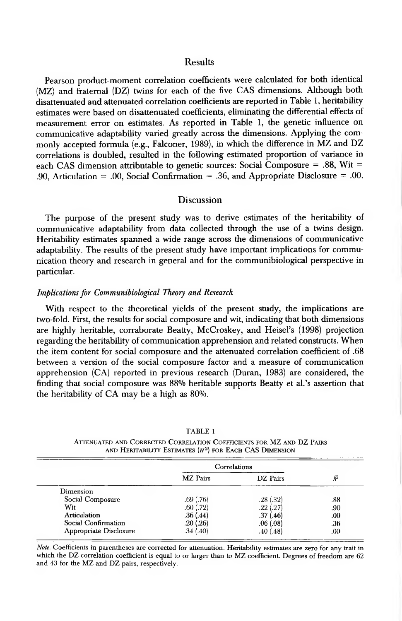#### Results

Pearson product-moment correlation coefficients were calculated for both identical (MZ) and fraternal (DZ) twins for each of the five CAS dimensions. Although both disattenuated and attenuated correlation coefficients are reported in Table 1, heritability estimates were based on disattenuated coefficients, eliminating the differential effects of measurement error on estimates. As reported in Table 1, the genetic influence on communicative adaptability varied greatly across the dimensions. Applying the commonly accepted formula (e.g., Falconer, 1989), in which the difference in MZ and DZ correlations is doubled, resulted in the following estimated proportion of variance in each CAS dimension attributable to genetic sources: Social Composure  $= .88$ , Wit  $=$ .90, Articulation = .00, Social Confirmation = .36, and Appropriate Disclosure = .00.

#### Discussion

The purpose of the present study was to derive estimates of the heritability of communicative adaptability from data collected through the use of a twins design. Heritability estimates spanned a wide range across the dimensions of communicative adaptability. The results of the present study have important implications for communication theory and research in general and for the communibiological perspective in particular.

#### *Implicationsfor Communibiological Theory and Research*

With respect to the theoretical yields of the present study, the implications are two-fold. First, the results for social composure and wit, indicating that both dimensions are highly heritable, corraborate Beatty, McCroskey, and Heisel's (1998) projection regarding the heritability of communication apprehension and related constructs. When the item content for social composure and the attenuated correlation coefficient of .68 between a version of the social composure factor and a measure of communication apprehension (CA) reported in previous research (Duran, 1983) are considered, the finding that social composure was 88% heritable supports Beatty et al.'s assertion that the heritability of CA may be a high as 80%.

TABLE <sup>1</sup>

Attenuated and Corrected Correlation Coefficients for MZ and DZ Pairs and Heritability Estimates (*H*2) for Each CAS Dimension

|                        | Correlations    |           |       |
|------------------------|-----------------|-----------|-------|
|                        | <b>MZ</b> Pairs | DZ Pairs  | $h^2$ |
| Dimension              |                 |           |       |
| Social Composure       | .69(.76)        | .28(.32)  | .88   |
| <b>Wit</b>             | .60(.72)        | .22(.27)  | .90   |
| <b>Articulation</b>    | .36(.44)        | .37(.46)  | .00.  |
| Social Confirmation    | .20(.26)        | .06(.08)  | .36   |
| Appropriate Disclosure | .34(.40)        | .40 (.48) | .00   |

*Note.* Coefficients in parentheses are corrected for attenuation. Heritability estimates are zero for any trait in which the DZ correlation coefficient is equal to or larger than to MZ coefficient. Degrees of freedom are 62 and 43 for the MZ and DZ pairs, respectively.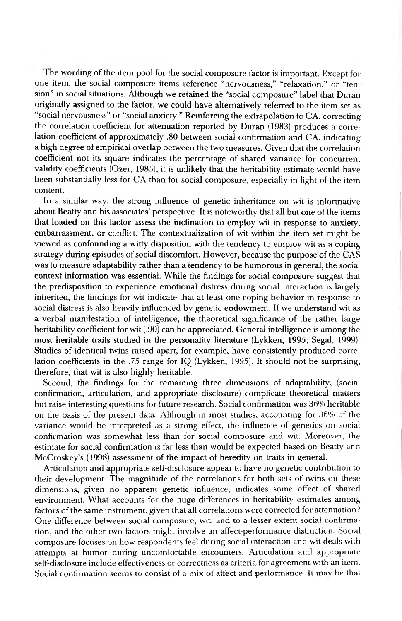<sup>1</sup> he wording of the item pool for the social composure factor is important. Except for one item, the social composure items reference "nervousness," "relaxation," or "ten sion" in social situations. Although we retained the "social composure" label that Duran originally assigned to the factor, we could have alternatively referred to the item set as "social nervousness" or "social anxiety." Reinforcing the extrapolation to CA, correcting the correlation coefficient for attenuation reported by Duran (1983) produces a correlation coefficient of approximately .80 between social confirmation and CA, indicating a high degree of empirical overlap between the two measures. Given that the correlation coefficient not its square indicates the percentage of shared variance for concurrent validity coefficients (Ozer, 1985), it is unlikely that the heritability estimate would have been substantially less for CA than for social composure, especially in light of the item content.

In a similar way, the strong influence of genetic inheritance on wit is informative about Beatty and his associates' perspective. It is noteworthy that all but one of the items that loaded on this factor assess the inclination to employ wit in response to anxiety, embarrassment, or conflict. The contextualization of wit within the item set might be viewed as confounding a witty disposition with the tendency to employ wit as a coping strategy during episodes of social discomfort. However, because the purpose of the  $\overline{CAS}$ was to measure adaptability rather than a tendency to be humorous in general, the social context information was essential. While the findings for social composure suggest that the predisposition to experience emotional distress during social interaction is largely inherited, the findings for wit indicate that at least one coping behavior in response to social distress is also heavily influenced by genetic endowment. If we understand wit as a verbal manifestation of intelligence, the theoretical significance of the rather large heritability coefficient for wit (.90) can be appreciated. General intelligence is among the most heritable traits studied in the personality literature (Lykken, 1995; Segal, 1999). Studies of identical twins raised apart, for example, have consistently produced correlation coefficients in the .75 range for IQ (Lykken, 1995). It should not be surprising, therefore, that wit is also highly heritable.

Second, the findings for the remaining three dimensions of adaptability, (social confirmation, articulation, and appropriate disclosure) complicate theoretical matters but raise interesting questions for future research. Social confirmation was 36% heritable on the basis of the present data. Although in most studies, accounting for 36% of the variance would be interpreted as a strong effect, the influence of genetics on social confirmation was somewhat less than for social composure and wit. Moreover, the estimate for social confirmation is far less than would be expected based on Beatty and McCroskey's (1998) assessment of the impact of heredity on traits in general.

Articulation and appropriate self-disclosure appear to have no genetic contribution to their development. The magnitude of the correlations for both sets of twins on these dimensions, given no apparent genetic influence, indicates some effect of shared environment. What accounts for the huge differences in heritability estimates among factors of the same instrument, given that all correlations were corrected for attenuation? One difference between social composure, wit, and to a lesser extent social confirmation, and the other two factors might involve an affect-performance distinction. Social composure focuses on how respondents feel during social interaction and wit deals with attempts at humor during uncomfortable encounters. Articulation and appropriate self-disclosure include effectiveness or correctness as criteria for agreement with an item. Social confirmation seems to consist of a mix of affect and performance. It mav be that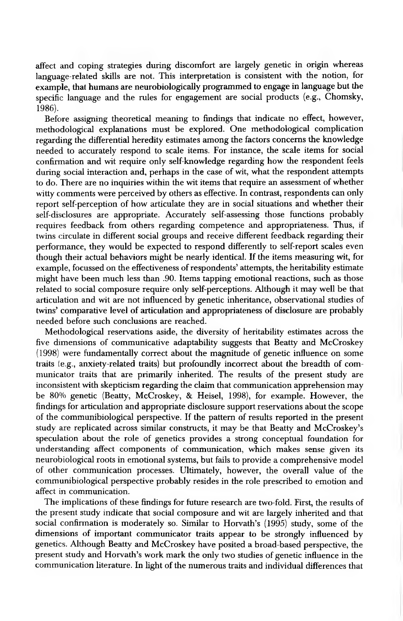affect and coping strategies during discomfort are largely genetic in origin whereas language-related skills are not. This interpretation is consistent with the notion, for example, that humans are neurobiologically programmed to engage in language but the specific language and the rules for engagement are social products (e.g., Chomsky, 1986).

Before assigning theoretical meaning to findings that indicate no effect, however, methodological explanations must be explored. One methodological complication regarding the differential heredity estimates among the factors concerns the knowledge needed to accurately respond to scale items. For instance, the scale items for social confirmation and wit require only self-knowledge regarding how the respondent feels during social interaction and, perhaps in the case of wit, what the respondent attempts to do. There are no inquiries within the wit items that require an assessment of whether witty comments were perceived by others as effective. In contrast, respondents can only report self-perception of how articulate they are in social situations and whether their self-disclosures are appropriate. Accurately self-assessing those functions probably requires feedback from others regarding competence and appropriateness. Thus, if twins circulate in different social groups and receive different feedback regarding their performance, they would be expected to respond differently to self-report scales even though their actual behaviors might be nearly identical. If the items measuring wit, for example, focussed on the effectiveness of respondents' attempts, the heritability estimate might have been much less than .90. Items tapping emotional reactions, such as those related to social composure require only self-perceptions. Although it may well be that articulation and wit are not influenced by genetic inheritance, observational studies of twins' comparative level of articulation and appropriateness of disclosure are probably needed before such conclusions are reached.

Methodological reservations aside, the diversity of heritability estimates across the five dimensions of communicative adaptability suggests that Beatty and McCroskey (1998) were fundamentally correct about the magnitude of genetic influence on some traits (e.g., anxiety-related traits) but profoundly incorrect about the breadth of communicator traits that are primarily inherited. The results of the present study are inconsistent with skepticism regarding the claim that communication apprehension may be 80% genetic (Beatty, McCroskey, & Heisel, 1998), for example. However, the findings for articulation and appropriate disclosure support reservations about the scope of the communibiological perspective. If the pattern of results reported in the present study are replicated across similar constructs, it may be that Beatty and McCroskey's speculation about the role of genetics provides a strong conceptual foundation for understanding affect components of communication, which makes sense given its neurobiological roots in emotional systems, but fails to provide a comprehensive model of other communication processes. Ultimately, however, the overall value of the communibiological perspective probably resides in the role prescribed to emotion and affect in communication.

The implications of these findings for future research are two-fold. First, the results of the present study indicate that social composure and wit are largely inherited and that social confirmation is moderately so. Similar to Horvath's (1995) study, some of the dimensions of important communicator traits appear to be strongly influenced by genetics. Although Beatty and McCroskey have posited a broad-based perspective, the present study and Horvath's work mark the only two studies of genetic influence in the communication literature. In light of the numerous traits and individual differences that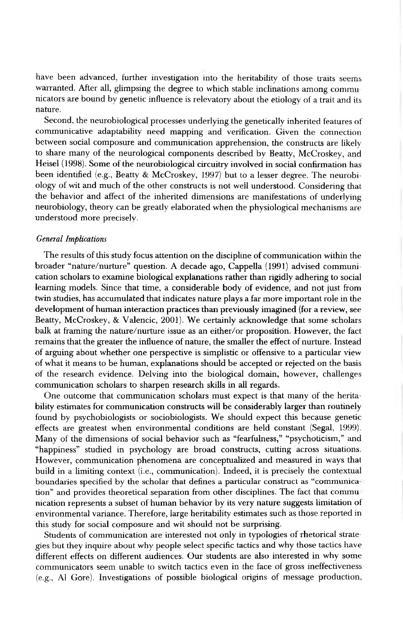have been advanced, further investigation into the heritability of those traits seems warranted. After all, glimpsing the degree to which stable inclinations among communicators are bound by genetic influence is relevatory about the etiology of a trait and its nature.

Second, the neurobiological processes underlying the genetically inherited features of communicative adaptability need mapping and verification. Given the connection between social composure and communication apprehension, the constructs are likely to share many of the neurological components described by Beatty, McCroskey, and Heisel (1998). Some of the neurobiological circuitry involved in social confirmation has been identified (e.g., Beatty & McCroskey, 1997) but to a lesser degree. The neurobiology of wit and much of the other constructs is not well understood. Considering that the behavior and affect of the inherited dimensions are manifestations of underlying neurobiology, theory can be greatly elaborated when the physiological mechanisms are understood more precisely.

#### *General Implications*

The results of this study focus attention on the discipline of communication within the broader "nature/nurture" question. A decade ago, Cappella (1991) advised communication scholars to examine biological explanations rather than rigidly adhering to social learning models. Since that time, a considerable body of evidence, and not just from twin studies, has accumulated that indicates nature plays a far more important role in the development of human interaction practices than previously imagined (for a review, see Beatty, McCroskey, & Valencic, 2001). We certainly acknowledge that some scholars balk at framing the nature/nurture issue as an either/or proposition. However, the fact remains that the greater the influence of nature, the smaller the effect of nurture. Instead of arguing about whether one perspective is simplistic or offensive to a particular view of what it means to be human, explanations should be accepted or rejected on the basis of the research evidence. Delving into the biological domain, however, challenges communication scholars to sharpen research skills in all regards.

One outcome that communication scholars must expect is that many of the heritability estimates for communication constructs will be considerably larger than routinely found by psychobiologists or sociobiologists. We should expect this because genetic effects are greatest when environmental conditions are held constant (Segal, 1999). Many of the dimensions of social behavior such as "fearfulness," "psychoticism," and "happiness" studied in psychology are broad constructs, cutting across situations. However, communication phenomena are conceptualized and measured in ways that build in a limiting context (i.e., communication). Indeed, it is precisely the contextual boundaries specified by the scholar that defines a particular construct as "communica tion" and provides theoretical separation from other disciplines. The fact that commu nication represents a subset of human behavior by its very nature suggests limitation of environmental variance. Therefore, large heritability estimates such as those reported in this study for social composure and wit should not be surprising.

Students of communication are interested not only in typologies of rhetorical strategies but they inquire about why people select specific tactics and why those tactics have different effects on different audiences. Our students are also interested in why some communicators seem unable to switch tactics even in the face of gross ineffectiveness (e.g., A1 Gore). Investigations of possible biological origins of message production.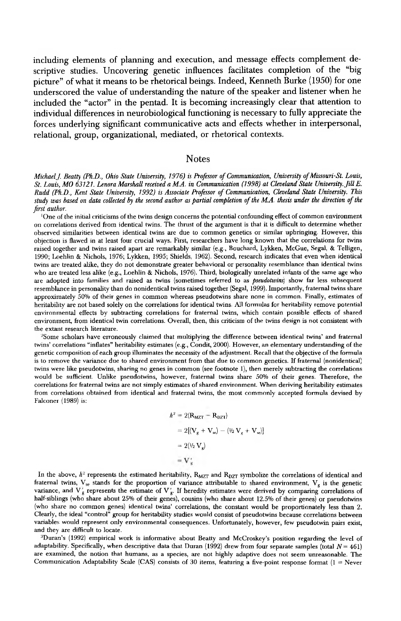including elements of planning and execution, and message effects complement descriptive studies. Uncovering genetic influences facilitates completion of the "big picture" of what it means to be rhetorical beings. Indeed, Kenneth Burke (1950) for one underscored the value of understanding the nature of the speaker and listener when he included the "actor" in the pentad. It is becoming increasingly clear that attention to individual differences in neurobiological functioning is necessary to fully appreciate the forces underlying significant communicative acts and effects whether in interpersonal, relational, group, organizational, mediated, or rhetorical contexts.

#### Notes

*MichaelJ. Beatty (Ph.D., Ohio State University, 1976) is Professor ofCommunication, University ofMissouri-St. Louis,* St. Louis, MO 63121. Lenora Marshall received a M.A. in Communication (1998) at Cleveland State University. Jill E. *Rudd (Ph.D., Kent State University, 1992) is Associate Professor ofCommunication, Cleveland State University. This* study was based on data collected by the second author as partial completion of the M.A. thesis under the direction of the *first author.*

<sup>1</sup>One of the initial criticisms of the twins design concerns the potential confounding effect of common environment on correlations derived from identical twins. The thrust of the argument is that it is difficult to determine whether observed similarities between identical twins are due to common genetics or similar upbringing. However, this objection is flawed in at least four crucial ways. First, researchers have long known that the correlations for twins raised together and twins raised apart are remarkably similar (e.g., Bouchard, Lykken, McGue, Segal, & Telligen, 1990; Loehlin & Nichols, 1976; Lykken, 1995; Shields, 1962). Second, research indicates that even when identical twins are treated alike, they do not demonstrate greater behavioral or personality resemblance than identical twins who are treated less alike (e.g., Loehlin & Nichols, 1976). Third, biologically unrelated infants of the same age who are adopted into families and raised as twins (sometimes referred to as *pseudotwins}* show far less subsequent resemblance in personality than do nonidentical twinsraised together (Segal, 1999). Importantly, fraternal twins share approximately 50% of their genes in common whereas pseudotwins share none in common. Finally, estimates of heritability are not based solely on the correlations for identical twins. All formulas for heritability remove potential environmental effects by subtracting correlations for fraternal twins, which contain possible effects of shared environment, from identical twin correlations. Overall, then, this criticism of the twins design is not consistent with the extant research literature.

<sup>2</sup>Some scholars have erroneously claimed that multiplying the difference between identical twins' and fraternal twins' correlations "inflates" heritability estimates (e.g., Condit, 2000). However, an elementary understanding of the genetic composition of each group illuminates the necessity of the adjustment. Recall that the objective of the formula is to remove the variance due to shared environment from that due to common genetics. If fraternal (nonidentical) twins were like pseudotwins, sharing no genes in common (see footnote 1), then merely subtracting the correlations would be sufficient. Unlike pseudotwins, however, fraternal twins share 50% of their genes. Therefore, the correlations for fraternal twins are not simply estimates of shared environment. When deriving heritability estimates from correlations obtained from identical and fraternal twins, the most commonly accepted formula devised by Falconer (1989) is:

$$
h^2 = 2(R_{\text{MZT}} - R_{\text{DZT}})
$$
  
= 2[(V\_g + V\_{\text{se}}) - (1/2 V\_g + V\_{\text{se}})]  
= 2(1/2 V\_g)  
= V'\_{\text{g}}

In the above,  $h^2$  represents the estimated heritability, R<sub>MZT</sub> and R<sub>DZT</sub> symbolize the correlations of identical and fraternal twins,  $V_{se}$  stands for the proportion of variance attributable to shared environment,  $V_{g}$  is the genetic variance, and  $V_g'$  represents the estimate of  $V_g'$ . If heredity estimates were derived by comparing correlations of half-siblings (who share about 25% of their genes), cousins (who share about 12.5% of their genes) or pseudotwins (who share no common genes) identical twins' correlations, the constant would be proportionately less than 2. Clearly, the ideal "control" group for heritability studies would consist of pseudotwins because correlations between variables would represent only environmental consequences. Unfortunately, however, few pseudotwin pairs exist, and they are difficult to locate.

<sup>3</sup>Duran's (1992) empirical work is informative about Beatty **and** McCroskey's position regarding the level of adaptability. Specifically, when descriptive data that Duran (1992) drew from four separate samples (total  $N = 461$ ) are examined, the notion that humans, as a species, are not highly adaptive does not seem unreasonable. The Communication Adaptability Scale (CAS) consists of 30 items, featuring a five-point response format (1 = Never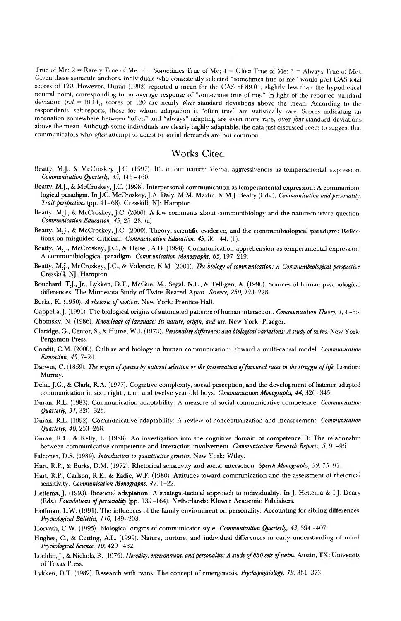True of Me; 2 = Rarely True of Me; 3 = Sometimes True of Me; 4 = Often True of Me; 5 = Always True of Me). Given these semantic anchors, individuals who consistently selected "sometimes true of me" would post CAS total scores of 120. However, Duran (1992) reported a mean for the CAS of 89.01, slightly less than the hypothetical neutral point, corresponding to an average response of "sometimes true of me." In light of the reported standard deviation *(s.d.* = 10.14), scores of 120 are nearly *three* standard deviations above the mean. According to the respondents' self-reports, those for whom adaptation is "often true" are statistically rare. Scores indicating an inclination somewhere between "often" and "always" adapting are even more rare, over *four* standard deviations above the mean. Although some individuals are clearly highly adaptable, the data just discussed seem to suggest that communicators who *often* attempt to adapt to social demands are not common.

#### Works Cited

- Beatty, MJ., & McCroskey, J.C. (1997). It's in our nature: Verbal aggressiveness as temperamental expression. *Communication Quarterly, 45,* 446-460.
- Beatty, MJ., & McCroskey,J.C. (1998). Interpersonal communication as temperamental expression: A communibiological paradigm. InJ.C. McCroskey,J.A. Daly, M.M. Martin, & MJ, Beatty (Eds.), *Communication andpersonality: Trait perspectives* (pp. 41-68). Cresskill, NJ: Hampton.
- Beatty, MJ., & McCroskey,J.C. (2000). A few comments about communibiology and the nature/nurture question. *Communication Education, 49,* 25-28. (a)
- Beatty, MJ., & McCroskey,J.C. (2000). Theory, scientific evidence, and the communibiological paradigm: Reflections on misguided criticism. *Communication Education, 49,* 36-44. (b).
- Beatty, MJ., McCroskey,J.C., & Heisel, A.D. (1998). Communication apprehension as temperamental expression: A communibiological paradigm. *Communication Monographs, 65,* 197-219.
- Beatty, M.J., McCroskey,J.C., & Valencic, K.M. (2001). *The biology ofcommunication: A Communibiological perspective.* Cresskill, NJ: Hampton.
- Bouchard, T.I., Jr., Lykken, D.T., McGue, M., Segal, N.L., & Telligen, A. (1990). Sources of human psychological differences: The Minnesota Study of Twins Reared Apart. *Science, 250,* 223-228.
- Burke, K. (1950). *A rhetoric ofmotives.* New York: Prentice-Hall,
- Cappella,J. (1991). The biological origins of automated patterns of human interaction. *Communication Theory, 1,* 4 -35.
- Chomsky, N. (1986). *Knowledge of language: Its nature, origin, and use.* New York: Praeger.
- Claridge, G., Center, S., & Hume, W.J. (1973). *Personality differences and biological variations: A study oftwins.* New York: Pergamon Press.
- Condit, C.M. (2000). Culture and biology in human communication: Toward a multi-causal model. *Communication Education, 49,* 7-24.
- Darwin, C. (1859). The origin of species by natural selection or the preservation of favoured races in the struggle of life. London: Murray.
- Delia, J.G., & Clark, R.A. (1977). Cognitive complexity, social perception, and the development of listener-adapted communication in six-, eight-, ten-, and twelve-year-old boys. *Communication Monographs, 44,* 326-345.
- Duran, R.L. (1983). Communication adaptability: A measure of social communicative competence. *Communication Quarterly, 31,* 320-326.
- Duran, R.L. (1992). Communicative adaptability: A review of conceptualization and measurement. *Communication Quarterly, 40,* 253-268.
- Duran, R.L., & Kelly, L. (1988). An investigation into the cognitive domain of competence II: The relationship between communicative competence and interaction involvement. *Communication Research Reports, 5,* 91-96.
- Falconer, D.S. (1989). *Introduction to quantitative genetics.* New York: Wiley.
- Hart, R.P., & Burks, D.M. (1972). Rhetorical sensitivity and social interaction. *Speech Monographs, 39,* 75-91.
- Hart, R.P., Carlson, R.E., & Eadie, W.F. (1980). Attitudes toward communication and the assessment of rhetorical sensitivity. *Communication Monographs, 47,* 1-22.
- Hettema, J. (1993). Biosocial adaptation: A strategic-tactical approach to individuality. In J. Hettema & I.J. Deary (Eds.) *Foundations ofpersonality (*pp*.* 139-164). Netherlands: Kluwer Academic Publishers.
- Hoffman, L.W. (1991). The influences ofthe family environment on personality: Accounting for sibling differences. *Psychological Bulletin, 110,* 189-203.
- Horvath, C.W. (1995). Biological origins of communicator style. *Communication Quarterly, 43,* 394-407.
- Hughes, C., & Cutting, A.L. (1999). Nature, nurture, and individual differences in early understanding of mind. *Psychological Science, 10,* 429-432.
- Loehlin,J., & Nichols, R. (1976). *Heredity, environment, andpersonality:A study of850sets oftwins.* Austin, TX: University of Texas Press.
- Lykken, D.T. (1982). Research with twins: The concept of emergenesis. *Psychophysiology, 19,* 361-373.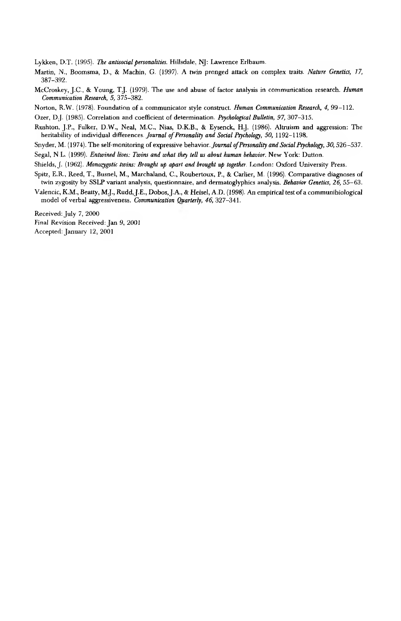Lykken, D.T. (1995). *The antisocialpersonalities.* Hillsdale, NJ: Lawrence Erlbaum.

- Martin, N., Boomsma, D., & Machin, G. (1997). A twin pronged attack on complex traits. *Nature Genetics, 17,* 387-392.
- McCroskey,J.C., & Young, T.J. (1979). The use and abuse of factor analysis in communication research. *Human Communication Research, 5,* 375-382.
- Norton, R.W. (1978). Foundation of a communicator style construct. *Human Communication Research, 4,* 99-112.

Ozer, DJ. (1985). Correlation and coefficient of determination. *Psychological Bulletin, 97,* 307-315.

Rushton, J.P., Fulker, D.W., Neal, M.C., Nias, D.K.B., & Eysenck, H.J. (1986). Altruism and aggression: The heritability of individual differences. *Journal ofPersonality and Social Psychology, 50,* 1192-1198.

Snyder, M. (1974). The self-monitoring of expressive behavior.*Journal ofPersonality and SocialPsychology, 30,*526-537.

- Segal, N.L. (1999). *Entwined lives: Twins and what they tell us about human behavior.* New York: Dutton.
- Shields,J. (1962). *Monozygotic twins: Brought up apart and brought up together.* London: Oxford University Press.
- Spitz, E.R., Reed, T., Busnel, M,, Marchaland, C., Roubertoux, P., & Carlier, M. (1996). Comparative diagnoses of twin zygosity by SSLP variant analysis, questionnaire, and dermatoglyphics analysis. *Behavior Genetics, 26,* 55-63.
- Valencic, K.M., Beatty, MJ., Rudd,J.E., Dobos,J.A., & Heisel, A.D. (1998). An empirical test *of*a communibiological model of verbal aggressiveness. *Communication Quarterly, 46,* 327-341.

Received: July 7, 2000

Final Revision Received: Jan 9, 2001 Accepted:January 12, 2001